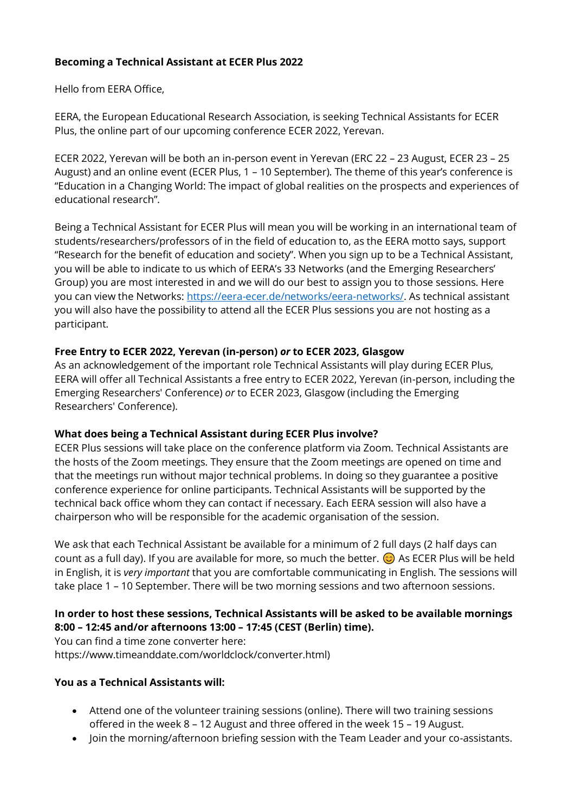# **Becoming a Technical Assistant at ECER Plus 2022**

Hello from EERA Office,

EERA, the European Educational Research Association, is seeking Technical Assistants for ECER Plus, the online part of our upcoming conference ECER 2022, Yerevan.

ECER 2022, Yerevan will be both an in-person event in Yerevan (ERC 22 – 23 August, ECER 23 – 25 August) and an online event (ECER Plus, 1 – 10 September). The theme of this year's conference is "Education in a Changing World: The impact of global realities on the prospects and experiences of educational research".

Being a Technical Assistant for ECER Plus will mean you will be working in an international team of students/researchers/professors of in the field of education to, as the EERA motto says, support "Research for the benefit of education and society". When you sign up to be a Technical Assistant, you will be able to indicate to us which of EERA's 33 Networks (and the Emerging Researchers' Group) you are most interested in and we will do our best to assign you to those sessions. Here you can view the Networks: [https://eera-ecer.de/networks/eera-networks/.](https://eera-ecer.de/networks/eera-networks/) As technical assistant you will also have the possibility to attend all the ECER Plus sessions you are not hosting as a participant.

## **Free Entry to ECER 2022, Yerevan (in-person)** *or* **to ECER 2023, Glasgow**

As an acknowledgement of the important role Technical Assistants will play during ECER Plus, EERA will offer all Technical Assistants a free entry to ECER 2022, Yerevan (in-person, including the Emerging Researchers' Conference) *or* to ECER 2023, Glasgow (including the Emerging Researchers' Conference).

#### **What does being a Technical Assistant during ECER Plus involve?**

ECER Plus sessions will take place on the conference platform via Zoom. Technical Assistants are the hosts of the Zoom meetings. They ensure that the Zoom meetings are opened on time and that the meetings run without major technical problems. In doing so they guarantee a positive conference experience for online participants. Technical Assistants will be supported by the technical back office whom they can contact if necessary. Each EERA session will also have a chairperson who will be responsible for the academic organisation of the session.

We ask that each Technical Assistant be available for a minimum of 2 full days (2 half days can count as a full day). If you are available for more, so much the better.  $\odot$  As ECER Plus will be held in English, it is *very important* that you are comfortable communicating in English. The sessions will take place 1 – 10 September. There will be two morning sessions and two afternoon sessions.

## **In order to host these sessions, Technical Assistants will be asked to be available mornings 8:00 – 12:45 and/or afternoons 13:00 – 17:45 (CEST (Berlin) time).**

You can find a time zone converter here: https://www.timeanddate.com/worldclock/converter.html)

## **You as a Technical Assistants will:**

- Attend one of the volunteer training sessions (online). There will two training sessions offered in the week 8 – 12 August and three offered in the week 15 – 19 August.
- Join the morning/afternoon briefing session with the Team Leader and your co-assistants.